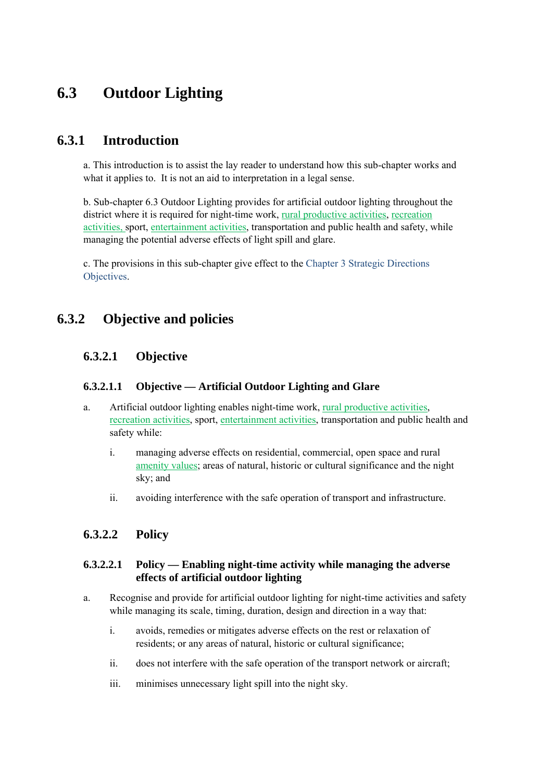# **6.3 Outdoor Lighting**

### **6.3.1 Introduction**

a. This introduction is to assist the lay reader to understand how this sub-chapter works and what it applies to. It is not an aid to interpretation in a legal sense.

b. Sub-chapter 6.3 Outdoor Lighting provides for artificial outdoor lighting throughout the district where it is required for night-time work, rural productive activities, recreation activities, sport, entertainment activities, transportation and public health and safety, while managing the potential adverse effects of light spill and glare.

c. The provisions in this sub-chapter give effect to the Chapter 3 Strategic Directions Objectives.

## **6.3.2 Objective and policies**

### **6.3.2.1 Objective**

#### **6.3.2.1.1 Objective — Artificial Outdoor Lighting and Glare**

- a. Artificial outdoor lighting enables night-time work, rural productive activities, recreation activities, sport, entertainment activities, transportation and public health and safety while:
	- i. managing adverse effects on residential, commercial, open space and rural amenity values; areas of natural, historic or cultural significance and the night sky; and
	- ii. avoiding interference with the safe operation of transport and infrastructure.

### **6.3.2.2 Policy**

#### **6.3.2.2.1 Policy — Enabling night-time activity while managing the adverse effects of artificial outdoor lighting**

- a. Recognise and provide for artificial outdoor lighting for night-time activities and safety while managing its scale, timing, duration, design and direction in a way that:
	- i. avoids, remedies or mitigates adverse effects on the rest or relaxation of residents; or any areas of natural, historic or cultural significance;
	- ii. does not interfere with the safe operation of the transport network or aircraft;
	- iii. minimises unnecessary light spill into the night sky.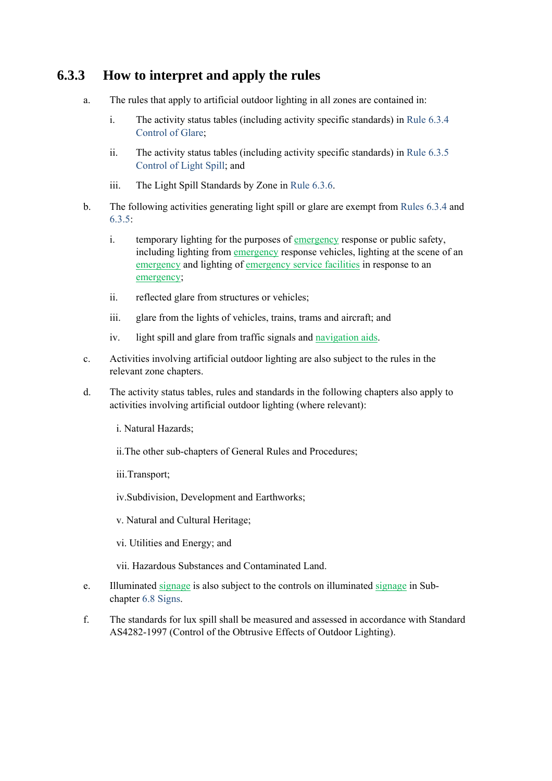# **6.3.3 How to interpret and apply the rules**

- a. The rules that apply to artificial outdoor lighting in all zones are contained in:
	- i. The activity status tables (including activity specific standards) in Rule 6.3.4 Control of Glare;
	- ii. The activity status tables (including activity specific standards) in Rule 6.3.5 Control of Light Spill; and
	- iii. The Light Spill Standards by Zone in Rule 6.3.6.
- b. The following activities generating light spill or glare are exempt from Rules 6.3.4 and 6.3.5:
	- i. temporary lighting for the purposes of emergency response or public safety, including lighting from emergency response vehicles, lighting at the scene of an emergency and lighting of emergency service facilities in response to an emergency;
	- ii. reflected glare from structures or vehicles;
	- iii. glare from the lights of vehicles, trains, trams and aircraft; and
	- iv. light spill and glare from traffic signals and navigation aids.
- c. Activities involving artificial outdoor lighting are also subject to the rules in the relevant zone chapters.
- d. The activity status tables, rules and standards in the following chapters also apply to activities involving artificial outdoor lighting (where relevant):
	- i. Natural Hazards;
	- ii.The other sub-chapters of General Rules and Procedures;
	- iii.Transport;
	- iv.Subdivision, Development and Earthworks;
	- v. Natural and Cultural Heritage;
	- vi. Utilities and Energy; and
	- vii. Hazardous Substances and Contaminated Land.
- e. Illuminated signage is also subject to the controls on illuminated signage in Subchapter 6.8 Signs.
- f. The standards for lux spill shall be measured and assessed in accordance with Standard AS4282-1997 (Control of the Obtrusive Effects of Outdoor Lighting).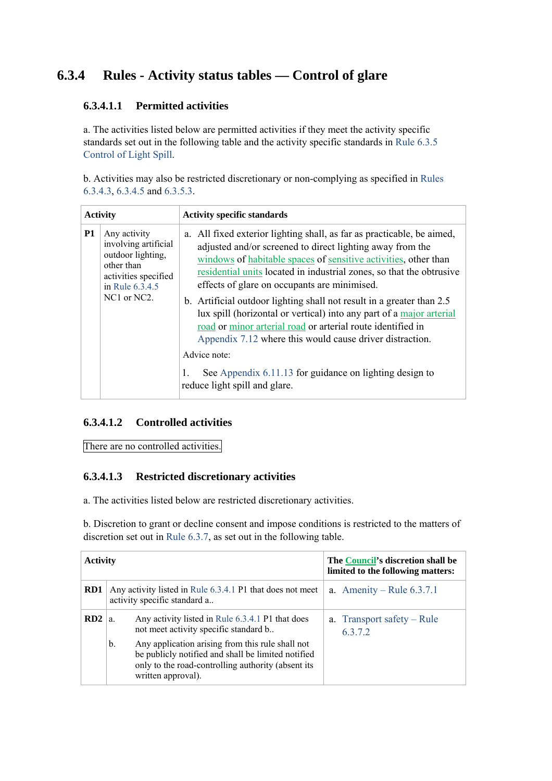# **6.3.4 Rules - Activity status tables — Control of glare**

#### **6.3.4.1.1 Permitted activities**

a. The activities listed below are permitted activities if they meet the activity specific standards set out in the following table and the activity specific standards in Rule 6.3.5 Control of Light Spill.

b. Activities may also be restricted discretionary or non-complying as specified in Rules 6.3.4.3, 6.3.4.5 and 6.3.5.3.

| <b>Activity</b> |                                                                                                                    | <b>Activity specific standards</b>                                                                                                                                                                                                                                                                                             |  |
|-----------------|--------------------------------------------------------------------------------------------------------------------|--------------------------------------------------------------------------------------------------------------------------------------------------------------------------------------------------------------------------------------------------------------------------------------------------------------------------------|--|
| <b>P1</b>       | Any activity<br>involving artificial<br>outdoor lighting,<br>other than<br>activities specified<br>in Rule 6.3.4.5 | a. All fixed exterior lighting shall, as far as practicable, be aimed,<br>adjusted and/or screened to direct lighting away from the<br>windows of habitable spaces of sensitive activities, other than<br>residential units located in industrial zones, so that the obtrusive<br>effects of glare on occupants are minimised. |  |
|                 | NC1 or NC2.                                                                                                        | b. Artificial outdoor lighting shall not result in a greater than 2.5<br>lux spill (horizontal or vertical) into any part of a major arterial<br>road or minor arterial road or arterial route identified in<br>Appendix 7.12 where this would cause driver distraction.                                                       |  |
|                 |                                                                                                                    | Advice note:<br>See Appendix 6.11.13 for guidance on lighting design to<br>1.<br>reduce light spill and glare.                                                                                                                                                                                                                 |  |

#### **6.3.4.1.2 Controlled activities**

There are no controlled activities.

### **6.3.4.1.3 Restricted discretionary activities**

a. The activities listed below are restricted discretionary activities.

b. Discretion to grant or decline consent and impose conditions is restricted to the matters of discretion set out in Rule 6.3.7, as set out in the following table.

| <b>Activity</b> |                                                                                           |                                                                                                                                                                                    | The Council's discretion shall be<br>limited to the following matters: |
|-----------------|-------------------------------------------------------------------------------------------|------------------------------------------------------------------------------------------------------------------------------------------------------------------------------------|------------------------------------------------------------------------|
| RD1             | Any activity listed in Rule 6.3.4.1 P1 that does not meet<br>activity specific standard a |                                                                                                                                                                                    | a. Amenity – Rule $6.3.7.1$                                            |
| RD <sub>2</sub> | a.                                                                                        | Any activity listed in Rule 6.3.4.1 P1 that does<br>not meet activity specific standard b                                                                                          | a. Transport safety – Rule<br>6372                                     |
|                 | $\mathbf{b}$ .                                                                            | Any application arising from this rule shall not<br>be publicly notified and shall be limited notified<br>only to the road-controlling authority (absent its<br>written approval). |                                                                        |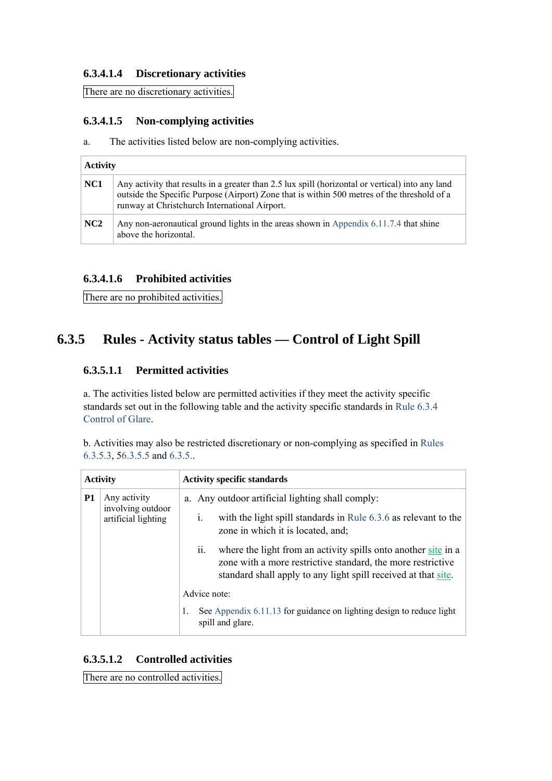#### **6.3.4.1.4 Discretionary activities**

There are no discretionary activities.

#### **6.3.4.1.5 Non-complying activities**

a. The activities listed below are non-complying activities.

| <b>Activity</b> |                                                                                                                                                                                                                                                  |  |  |
|-----------------|--------------------------------------------------------------------------------------------------------------------------------------------------------------------------------------------------------------------------------------------------|--|--|
| NC <sub>1</sub> | Any activity that results in a greater than 2.5 lux spill (horizontal or vertical) into any land<br>outside the Specific Purpose (Airport) Zone that is within 500 metres of the threshold of a<br>runway at Christchurch International Airport. |  |  |
| NC <sub>2</sub> | Any non-aeronautical ground lights in the areas shown in Appendix 6.11.7.4 that shine<br>above the horizontal.                                                                                                                                   |  |  |

#### **6.3.4.1.6 Prohibited activities**

There are no prohibited activities.

# **6.3.5 Rules - Activity status tables — Control of Light Spill**

#### **6.3.5.1.1 Permitted activities**

a. The activities listed below are permitted activities if they meet the activity specific standards set out in the following table and the activity specific standards in Rule 6.3.4 Control of Glare.

b. Activities may also be restricted discretionary or non-complying as specified in Rules 6.3.5.3, 56.3.5.5 and 6.3.5..

| <b>Activity</b> |                                                          | <b>Activity specific standards</b>                                 |                                                                                                                                                                                                                                                                                                                                                                                                                                                         |  |
|-----------------|----------------------------------------------------------|--------------------------------------------------------------------|---------------------------------------------------------------------------------------------------------------------------------------------------------------------------------------------------------------------------------------------------------------------------------------------------------------------------------------------------------------------------------------------------------------------------------------------------------|--|
| <b>P1</b>       | Any activity<br>involving outdoor<br>artificial lighting | $\mathbf{1}$ .<br>$\overline{\mathbf{11}}$ .<br>Advice note:<br>1. | a. Any outdoor artificial lighting shall comply:<br>with the light spill standards in Rule 6.3.6 as relevant to the<br>zone in which it is located, and;<br>where the light from an activity spills onto another site in a<br>zone with a more restrictive standard, the more restrictive<br>standard shall apply to any light spill received at that site.<br>See Appendix 6.11.13 for guidance on lighting design to reduce light<br>spill and glare. |  |

#### **6.3.5.1.2 Controlled activities**

There are no controlled activities.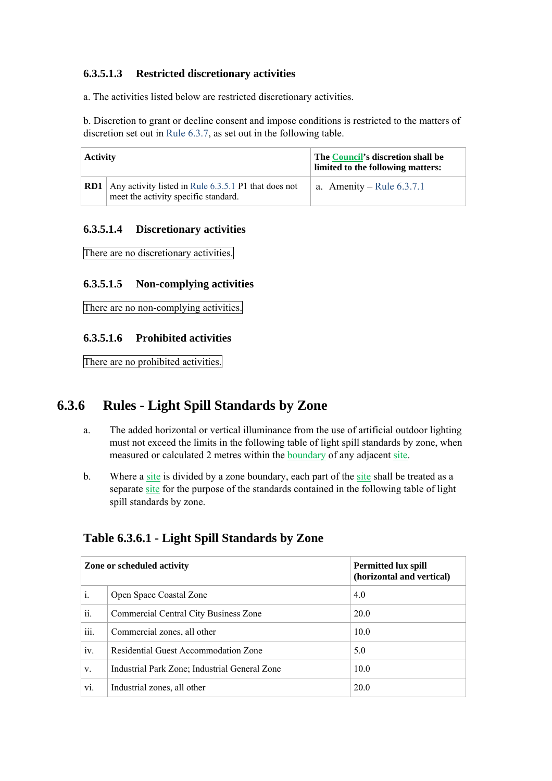#### **6.3.5.1.3 Restricted discretionary activities**

a. The activities listed below are restricted discretionary activities.

b. Discretion to grant or decline consent and impose conditions is restricted to the matters of discretion set out in Rule 6.3.7, as set out in the following table.

| Activity |                                                                                                | The <b>Council's</b> discretion shall be<br>limited to the following matters: |  |
|----------|------------------------------------------------------------------------------------------------|-------------------------------------------------------------------------------|--|
| RD1      | Any activity listed in Rule $6.3.5.1$ P1 that does not<br>meet the activity specific standard. | a. Amenity – Rule $6.3.7.1$                                                   |  |

#### **6.3.5.1.4 Discretionary activities**

There are no discretionary activities.

#### **6.3.5.1.5 Non-complying activities**

There are no non-complying activities.

#### **6.3.5.1.6 Prohibited activities**

There are no prohibited activities.

## **6.3.6 Rules - Light Spill Standards by Zone**

- a. The added horizontal or vertical illuminance from the use of artificial outdoor lighting must not exceed the limits in the following table of light spill standards by zone, when measured or calculated 2 metres within the boundary of any adjacent site.
- b. Where a site is divided by a zone boundary, each part of the site shall be treated as a separate site for the purpose of the standards contained in the following table of light spill standards by zone.

## **Table 6.3.6.1 - Light Spill Standards by Zone**

| Zone or scheduled activity |                                               | <b>Permitted lux spill</b><br>(horizontal and vertical) |
|----------------------------|-----------------------------------------------|---------------------------------------------------------|
| i.                         | Open Space Coastal Zone                       | 4.0                                                     |
| ii.                        | Commercial Central City Business Zone         | 20.0                                                    |
| $\cdots$<br>111.           | Commercial zones, all other                   | 10.0                                                    |
| iv.                        | Residential Guest Accommodation Zone          | 5.0                                                     |
| V.                         | Industrial Park Zone; Industrial General Zone | 10.0                                                    |
| vi.                        | Industrial zones, all other                   | 20.0                                                    |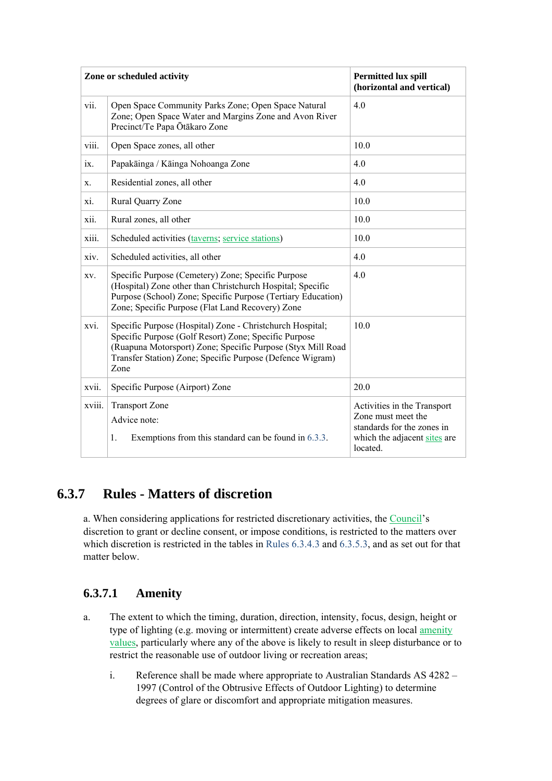|        | Zone or scheduled activity                                                                                                                                                                                                                             | <b>Permitted lux spill</b><br>(horizontal and vertical)                                                                     |
|--------|--------------------------------------------------------------------------------------------------------------------------------------------------------------------------------------------------------------------------------------------------------|-----------------------------------------------------------------------------------------------------------------------------|
| vii.   | Open Space Community Parks Zone; Open Space Natural<br>Zone; Open Space Water and Margins Zone and Avon River<br>Precinct/Te Papa Ōtākaro Zone                                                                                                         | 4.0                                                                                                                         |
| viii.  | Open Space zones, all other                                                                                                                                                                                                                            | 10.0                                                                                                                        |
| 1X.    | Papakāinga / Kāinga Nohoanga Zone                                                                                                                                                                                                                      | 4.0                                                                                                                         |
| X.     | Residential zones, all other                                                                                                                                                                                                                           | 4.0                                                                                                                         |
| xi.    | Rural Quarry Zone                                                                                                                                                                                                                                      | 10.0                                                                                                                        |
| xii.   | Rural zones, all other                                                                                                                                                                                                                                 | 10.0                                                                                                                        |
| xiii.  | Scheduled activities (taverns; service stations)                                                                                                                                                                                                       | 10.0                                                                                                                        |
| xiv.   | Scheduled activities, all other                                                                                                                                                                                                                        | 4.0                                                                                                                         |
| XV.    | Specific Purpose (Cemetery) Zone; Specific Purpose<br>(Hospital) Zone other than Christchurch Hospital; Specific<br>Purpose (School) Zone; Specific Purpose (Tertiary Education)<br>Zone; Specific Purpose (Flat Land Recovery) Zone                   | 4.0                                                                                                                         |
| xvi.   | Specific Purpose (Hospital) Zone - Christchurch Hospital;<br>Specific Purpose (Golf Resort) Zone; Specific Purpose<br>(Ruapuna Motorsport) Zone; Specific Purpose (Styx Mill Road<br>Transfer Station) Zone; Specific Purpose (Defence Wigram)<br>Zone | 10.0                                                                                                                        |
| xvii.  | Specific Purpose (Airport) Zone                                                                                                                                                                                                                        | 20.0                                                                                                                        |
| xviii. | <b>Transport Zone</b><br>Advice note:<br>1.<br>Exemptions from this standard can be found in 6.3.3.                                                                                                                                                    | Activities in the Transport<br>Zone must meet the<br>standards for the zones in<br>which the adjacent sites are<br>located. |

# **6.3.7 Rules - Matters of discretion**

a. When considering applications for restricted discretionary activities, the Council's discretion to grant or decline consent, or impose conditions, is restricted to the matters over which discretion is restricted in the tables in Rules 6.3.4.3 and 6.3.5.3, and as set out for that matter below.

### **6.3.7.1 Amenity**

- a. The extent to which the timing, duration, direction, intensity, focus, design, height or type of lighting (e.g. moving or intermittent) create adverse effects on local amenity values, particularly where any of the above is likely to result in sleep disturbance or to restrict the reasonable use of outdoor living or recreation areas;
	- i. Reference shall be made where appropriate to Australian Standards AS 4282 1997 (Control of the Obtrusive Effects of Outdoor Lighting) to determine degrees of glare or discomfort and appropriate mitigation measures.